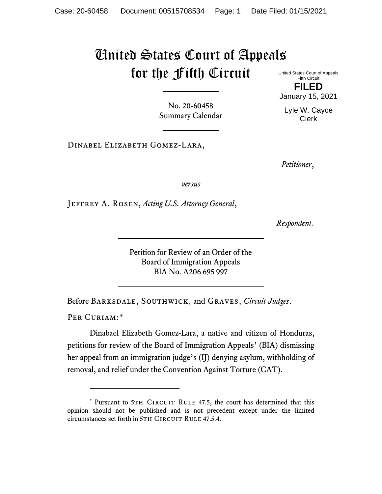## United States Court of Appeals for the Fifth Circuit

United States Court of Appeals Fifth Circuit **FILED**

January 15, 2021

Lyle W. Cayce Clerk

No. 20-60458 Summary Calendar

Dinabel Elizabeth Gomez-Lara,

*Petitioner*,

*versus*

Jeffrey A. Rosen, *Acting U.S. Attorney General*,

*Respondent*.

Petition for Review of an Order of the Board of Immigration Appeals BIA No. A206 695 997

Before Barksdale, Southwick, and Graves, *Circuit Judges*.

PER CURIAM:[\\*](#page-0-0)

Dinabael Elizabeth Gomez-Lara, a native and citizen of Honduras, petitions for review of the Board of Immigration Appeals' (BIA) dismissing her appeal from an immigration judge's (IJ) denying asylum, withholding of removal, and relief under the Convention Against Torture (CAT).

<span id="page-0-0"></span><sup>\*</sup> Pursuant to 5TH CIRCUIT RULE 47.5, the court has determined that this opinion should not be published and is not precedent except under the limited circumstances set forth in 5TH CIRCUIT RULE 47.5.4.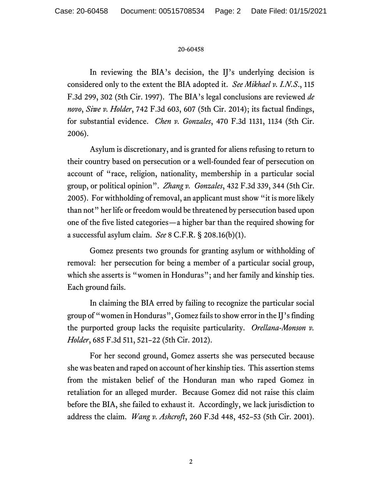## 20-60458

In reviewing the BIA's decision, the II's underlying decision is considered only to the extent the BIA adopted it. *See Mikhael v. I.N.S*., 115 F.3d 299, 302 (5th Cir. 1997). The BIA's legal conclusions are reviewed *de novo*, *Siwe v. Holder*, 742 F.3d 603, 607 (5th Cir. 2014); its factual findings, for substantial evidence. *Chen v. Gonzales*, 470 F.3d 1131, 1134 (5th Cir. 2006).

Asylum is discretionary, and is granted for aliens refusing to return to their country based on persecution or a well-founded fear of persecution on account of "race, religion, nationality, membership in a particular social group, or political opinion". *Zhang v. Gonzales*, 432 F.3d 339, 344 (5th Cir. 2005). For withholding of removal, an applicant must show "it is more likely than not" her life or freedom would be threatened by persecution based upon one of the five listed categories—a higher bar than the required showing for a successful asylum claim. *See* 8 C.F.R. § 208.16(b)(1).

Gomez presents two grounds for granting asylum or withholding of removal: her persecution for being a member of a particular social group, which she asserts is "women in Honduras"; and her family and kinship ties. Each ground fails.

In claiming the BIA erred by failing to recognize the particular social group of "women in Honduras", Gomez fails to show error in the IJ's finding the purported group lacks the requisite particularity. *Orellana-Monson v. Holder*, 685 F.3d 511, 521–22 (5th Cir. 2012).

For her second ground, Gomez asserts she was persecuted because she was beaten and raped on account of her kinship ties. This assertion stems from the mistaken belief of the Honduran man who raped Gomez in retaliation for an alleged murder. Because Gomez did not raise this claim before the BIA, she failed to exhaust it. Accordingly, we lack jurisdiction to address the claim. *Wang v. Ashcroft*, 260 F.3d 448, 452–53 (5th Cir. 2001).